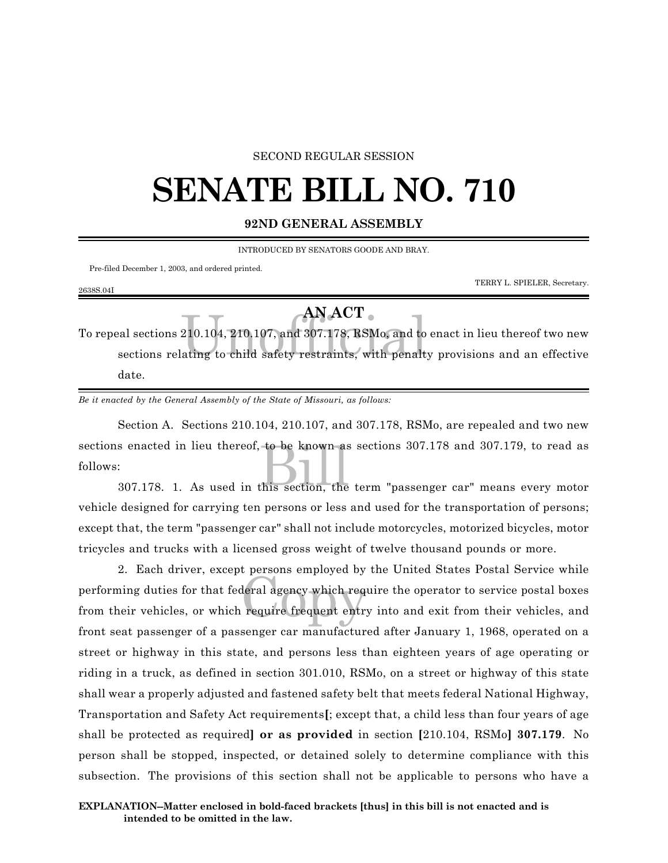## SECOND REGULAR SESSION

## **SENATE BILL NO. 710**

## **92ND GENERAL ASSEMBLY**

INTRODUCED BY SENATORS GOODE AND BRAY.

Pre-filed December 1, 2003, and ordered printed.

2638S.04I

TERRY L. SPIELER, Secretary.

## **AN ACT**

AN ACT<br>210.104, 210.107, and 307.178, RSMo, and to<br>ating to child safety restraints, with penalt To repeal sections 210.104, 210.107, and 307.178, RSMo, and to enact in lieu thereof two new sections relating to child safety restraints, with penalty provisions and an effective date.

*Be it enacted by the General Assembly of the State of Missouri, as follows:*

s enacted in lieu thereof, to be known as sections 307.178 and 307.179, to read as<br>:<br>307.178. 1. As used in this section, the term "passenger car" means every motor Section A. Sections 210.104, 210.107, and 307.178, RSMo, are repealed and two new sections enacted in lieu thereof, to be known as sections 307.178 and 307.179, to read as follows:

vehicle designed for carrying ten persons or less and used for the transportation of persons; except that, the term "passenger car" shall not include motorcycles, motorized bicycles, motor tricycles and trucks with a licensed gross weight of twelve thousand pounds or more.

e persons emproyed by<br>deral agency which require frequent entry 2. Each driver, except persons employed by the United States Postal Service while performing duties for that federal agency which require the operator to service postal boxes from their vehicles, or which require frequent entry into and exit from their vehicles, and front seat passenger of a passenger car manufactured after January 1, 1968, operated on a street or highway in this state, and persons less than eighteen years of age operating or riding in a truck, as defined in section 301.010, RSMo, on a street or highway of this state shall wear a properly adjusted and fastened safety belt that meets federal National Highway, Transportation and Safety Act requirements**[**; except that, a child less than four years of age shall be protected as required**] or as provided** in section **[**210.104, RSMo**] 307.179**. No person shall be stopped, inspected, or detained solely to determine compliance with this subsection. The provisions of this section shall not be applicable to persons who have a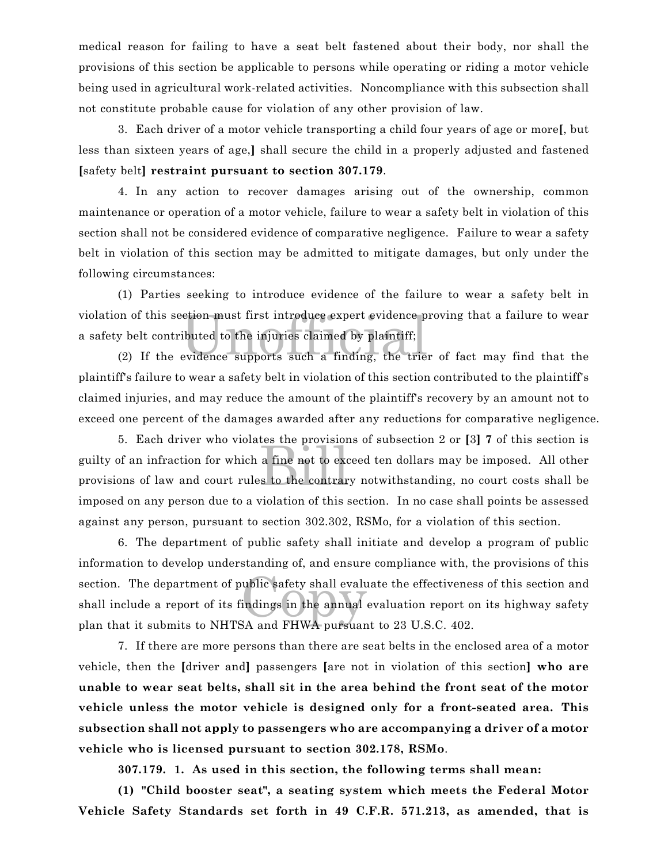medical reason for failing to have a seat belt fastened about their body, nor shall the provisions of this section be applicable to persons while operating or riding a motor vehicle being used in agricultural work-related activities. Noncompliance with this subsection shall not constitute probable cause for violation of any other provision of law.

3. Each driver of a motor vehicle transporting a child four years of age or more**[**, but less than sixteen years of age,**]** shall secure the child in a properly adjusted and fastened **[**safety belt**] restraint pursuant to section 307.179**.

4. In any action to recover damages arising out of the ownership, common maintenance or operation of a motor vehicle, failure to wear a safety belt in violation of this section shall not be considered evidence of comparative negligence. Failure to wear a safety belt in violation of this section may be admitted to mitigate damages, but only under the following circumstances:

on of this section must first introduce expert evidence proving that a failure to wear<br>y belt contributed to the injuries claimed by plaintiff;<br>(2) If the evidence supports such a finding, the trier of fact may find that t (1) Parties seeking to introduce evidence of the failure to wear a safety belt in violation of this section must first introduce expert evidence proving that a failure to wear a safety belt contributed to the injuries claimed by plaintiff;

plaintiff's failure to wear a safety belt in violation of this section contributed to the plaintiff's claimed injuries, and may reduce the amount of the plaintiff's recovery by an amount not to exceed one percent of the damages awarded after any reductions for comparative negligence.

a fine not to excess to the contrar 5. Each driver who violates the provisions of subsection 2 or **[**3**] 7** of this section is guilty of an infraction for which a fine not to exceed ten dollars may be imposed. All other provisions of law and court rules to the contrary notwithstanding, no court costs shall be imposed on any person due to a violation of this section. In no case shall points be assessed against any person, pursuant to section 302.302, RSMo, for a violation of this section.

ublic safety shall evalue<br>indings in the annual<br>SA and FHWA nursuan 6. The department of public safety shall initiate and develop a program of public information to develop understanding of, and ensure compliance with, the provisions of this section. The department of public safety shall evaluate the effectiveness of this section and shall include a report of its findings in the annual evaluation report on its highway safety plan that it submits to NHTSA and FHWA pursuant to 23 U.S.C. 402.

7. If there are more persons than there are seat belts in the enclosed area of a motor vehicle, then the **[**driver and**]** passengers **[**are not in violation of this section**] who are unable to wear seat belts, shall sit in the area behind the front seat of the motor vehicle unless the motor vehicle is designed only for a front-seated area. This subsection shall not apply to passengers who are accompanying a driver of a motor vehicle who is licensed pursuant to section 302.178, RSMo**.

**307.179. 1. As used in this section, the following terms shall mean:**

**(1) "Child booster seat", a seating system which meets the Federal Motor Vehicle Safety Standards set forth in 49 C.F.R. 571.213, as amended, that is**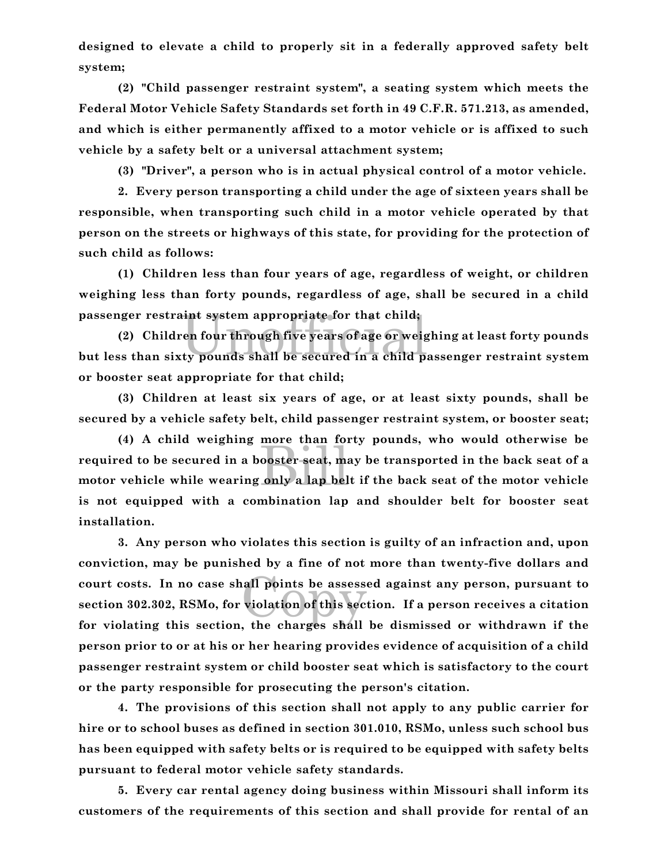**designed to elevate a child to properly sit in a federally approved safety belt system;**

**(2) "Child passenger restraint system", a seating system which meets the Federal Motor Vehicle Safety Standards set forth in 49 C.F.R. 571.213, as amended, and which is either permanently affixed to a motor vehicle or is affixed to such vehicle by a safety belt or a universal attachment system;**

**(3) "Driver", a person who is in actual physical control of a motor vehicle.**

**2. Every person transporting a child under the age of sixteen years shall be responsible, when transporting such child in a motor vehicle operated by that person on the streets or highways of this state, for providing for the protection of such child as follows:**

**(1) Children less than four years of age, regardless of weight, or children weighing less than forty pounds, regardless of age, shall be secured in a child passenger restraint system appropriate for that child;**

passenger restraint system appropriate for that child;<br>(2) Children four through five years of age or weighing at least forty pounds<br>but less than sixty pounds shall be secured in a child passenger restraint system **(2) Children four through five years of age or weighing at least forty pounds or booster seat appropriate for that child;**

**(3) Children at least six years of age, or at least sixty pounds, shall be secured by a vehicle safety belt, child passenger restraint system, or booster seat;**

nore than 101<br>ooster seat, ma<br>only a lap bel **(4) A child weighing more than forty pounds, who would otherwise be required to be secured in a booster seat, may be transported in the back seat of a motor vehicle while wearing only a lap belt if the back seat of the motor vehicle is not equipped with a combination lap and shoulder belt for booster seat installation.**

all points be assessed<br>violation of this section **3. Any person who violates this section is guilty of an infraction and, upon conviction, may be punished by a fine of not more than twenty-five dollars and court costs. In no case shall points be assessed against any person, pursuant to section 302.302, RSMo, for violation of this section. If a person receives a citation for violating this section, the charges shall be dismissed or withdrawn if the person prior to or at his or her hearing provides evidence of acquisition of a child passenger restraint system or child booster seat which is satisfactory to the court or the party responsible for prosecuting the person's citation.**

**4. The provisions of this section shall not apply to any public carrier for hire or to school buses as defined in section 301.010, RSMo, unless such school bus has been equipped with safety belts or is required to be equipped with safety belts pursuant to federal motor vehicle safety standards.**

**5. Every car rental agency doing business within Missouri shall inform its customers of the requirements of this section and shall provide for rental of an**